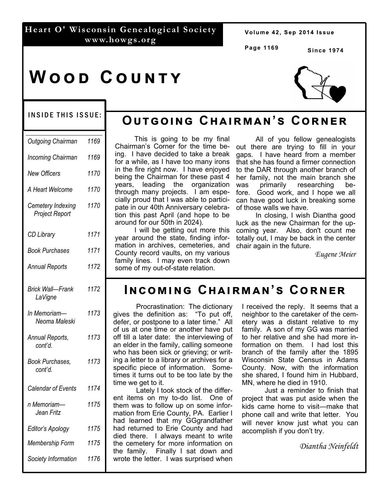### **Heart O' Wisconsin Genealogical Society www.howgs.org**

Volume 42, Sep 2014 Issue

**Page 1169**

**Since 1974** 

# **WOOD COUNTY**



#### INSIDE THIS ISSUE:

| Outgoing Chairman                          | 1169 |
|--------------------------------------------|------|
| Incoming Chairman                          | 1169 |
| <b>New Officers</b>                        | 1170 |
| A Heart Welcome                            | 1170 |
| Cemetery Indexing<br><b>Project Report</b> | 1170 |
| <b>CD Library</b>                          | 1171 |
| <b>Book Purchases</b>                      | 1171 |
| <b>Annual Reports</b>                      | 1172 |
| <b>Brick Wall-Frank</b><br>LaVigne         | 1172 |
| In Memoriam-<br>Neoma Maleski              | 1173 |
| Annual Reports,<br>cont'd.                 | 1173 |
| Book Purchases,<br>cont'd.                 | 1173 |
| Calendar of Events                         | 1174 |
| n Memoriam-<br>Jean Fritz                  | 1175 |
| Editor's Apology                           | 1175 |
| Membership Form                            | 1175 |
| Society Information                        | 1176 |

# $OutG$  CHAIRMAN'S CORNER

 This is going to be my final ing. I have decided to take a break for a while, as I have too many irons in the fire right now. I have enjoyed being the Chairman for these past 4 years, leading the organization through many projects. I am especially proud that I was able to participate in our 40th Anniversary celebration this past April (and hope to be around for our 50th in 2024).

 I will be getting out more this year around the state, finding information in archives, cemeteries, and County record vaults, on my various family lines. I may even track down some of my out-of-state relation.

 All of you fellow genealogists Chairman's Corner for the time be- out there are trying to fill in your gaps. I have heard from a member that she has found a firmer connection to the DAR through another branch of her family, not the main branch she<br>was primarily researching bewas primarily researching be-<br>fore. Good-work and I hope we-all Good work, and I hope we all can have good luck in breaking some of those walls we have.

> In closing, I wish Diantha good luck as the new Chairman for the upcoming year. Also, don't count me totally out, I may be back in the center chair again in the future.

> > *Eugene Meier*

### **Iඖඋඕඑඖඏ Cඐඉඑකඕඉඖ'ඛ Cකඖඍක**

Procrastination: The dictionary gives the definition as: "To put off, defer, or postpone to a later time." All of us at one time or another have put off till a later date: the interviewing of an elder in the family, calling someone who has been sick or grieving; or writing a letter to a library or archives for a specific piece of information. Sometimes it turns out to be too late by the time we get to it.

 Lately I took stock of the different items on my to-do list. One of them was to follow up on some information from Erie County, PA. Earlier I had learned that my GGgrandfather had returned to Erie County and had died there. I always meant to write the cemetery for more information on the family. Finally I sat down and wrote the letter. I was surprised when

I received the reply. It seems that a neighbor to the caretaker of the cemetery was a distant relative to my family. A son of my GG was married to her relative and she had more information on them. I had lost this branch of the family after the 1895 Wisconsin State Census in Adams County. Now, with the information she shared, I found him in Hubbard, MN, where he died in 1910.

 Just a reminder to finish that project that was put aside when the kids came home to visit—make that phone call and write that letter. You will never know just what you can accomplish if you don't try.

*Diantha Neinfeldt*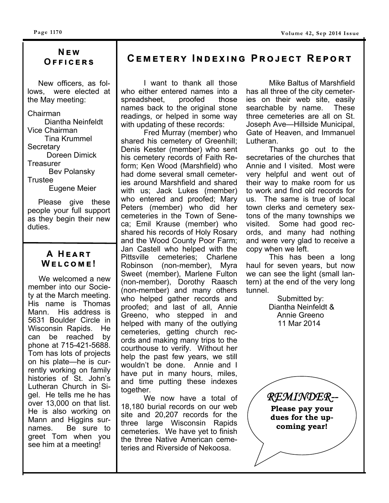### **N ඍ ඟ O ඎඎඑඋඍකඛ**

 New officers, as follows, were elected at the May meeting:

Chairman Diantha Neinfeldt Vice Chairman Tina Krummel **Secretary**  Doreen Dimick **Treasurer**  Bev Polansky **Trustee** Eugene Meier

 Please give these people your full support as they begin their new duties.

### **A HEART**  $W$  **ELCOME!**

 We welcomed a new member into our Society at the March meeting. His name is Thomas Mann. His address is 5631 Boulder Circle in Wisconsin Rapids. He can be reached by phone at 715-421-5688. Tom has lots of projects on his plate—he is currently working on family histories of St. John's Lutheran Church in Sigel. He tells me he has over 13,000 on that list. He is also working on Mann and Higgins surnames. Be sure to greet Tom when you see him at a meeting!

### $C$ **EMETERY INDEXING PROJECT REPORT**

 I want to thank all those who either entered names into a spreadsheet, proofed those names back to the original stone readings, or helped in some way with updating of these records:

 Fred Murray (member) who shared his cemetery of Greenhill; Denis Kester (member) who sent his cemetery records of Faith Reform; Ken Wood (Marshfield) who had dome several small cemeteries around Marshfield and shared with us; Jack Lukes (member) who entered and proofed; Mary Peters (member) who did her cemeteries in the Town of Seneca; Emil Krause (member) who shared his records of Holy Rosary and the Wood County Poor Farm; Jan Castell who helped with the Pittsville cemeteries; Charlene Robinson (non-member), Myra Sweet (member), Marlene Fulton (non-member), Dorothy Raasch (non-member) and many others who helped gather records and proofed; and last of all, Annie Greeno, who stepped in and helped with many of the outlying cemeteries, getting church records and making many trips to the courthouse to verify. Without her help the past few years, we still wouldn't be done. Annie and I have put in many hours, miles, and time putting these indexes together.

 We now have a total of 18,180 burial records on our web site and 20,207 records for the three large Wisconsin Rapids cemeteries. We have yet to finish the three Native American cemeteries and Riverside of Nekoosa.

 Mike Baltus of Marshfield has all three of the city cemeteries on their web site, easily searchable by name. These three cemeteries are all on St. Joseph Ave—Hillside Municipal, Gate of Heaven, and Immanuel Lutheran.

 Thanks go out to the secretaries of the churches that Annie and I visited. Most were very helpful and went out of their way to make room for us to work and find old records for us. The same is true of local town clerks and cemetery sextons of the many townships we visited. Some had good records, and many had nothing and were very glad to receive a copy when we left.

 This has been a long haul for seven years, but now we can see the light (small lantern) at the end of the very long tunnel.

> Submitted by: Diantha Neinfeldt & Annie Greeno 11 Mar 2014

*REMINDER--*  **Please pay your dues for the upcoming year!**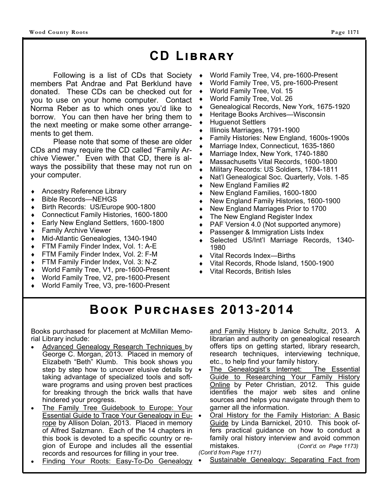# CD LIBRARY

Following is a list of CDs that Society members Pat Andrae and Pat Berklund have donated. These CDs can be checked out for you to use on your home computer. Contact Norma Reber as to which ones you'd like to borrow. You can then have her bring them to the next meeting or make some other arrangements to get them.

 Please note that some of these are older CDs and may require the CD called "Family Archive Viewer." Even with that CD, there is always the possibility that these may not run on your computer.

- Ancestry Reference Library
- Bible Records—NEHGS
- Birth Records: US/Europe 900-1800
- Connecticut Family Histories, 1600-1800
- Early New England Settlers, 1600-1800
- Family Archive Viewer
- Mid-Atlantic Genealogies, 1340-1940
- FTM Family Finder Index, Vol. 1: A-E
- FTM Family Finder Index, Vol. 2: F-M
- FTM Family Finder Index, Vol. 3: N-Z
- World Family Tree, V1, pre-1600-Present
- World Family Tree, V2, pre-1600-Present
- World Family Tree, V3, pre-1600-Present
- World Family Tree, V4, pre-1600-Present
- World Family Tree, V5, pre-1600-Present
- World Family Tree, Vol. 15
- World Family Tree, Vol. 26
- Genealogical Records, New York, 1675-1920
- Heritage Books Archives—Wisconsin
- Huguenot Settlers
- Illinois Marriages, 1791-1900
- Family Histories: New England, 1600s-1900s
- Marriage Index, Connecticut, 1635-1860
- Marriage Index, New York, 1740-1880
- Massachusetts Vital Records, 1600-1800
- Military Records: US Soldiers, 1784-1811
- Nat'l Genealogical Soc. Quarterly, Vols. 1-85
- New England Families #2
- New England Families, 1600-1800
- New England Family Histories, 1600-1900
- New England Marriages Prior to 1700
- The New England Register Index
- PAF Version 4.0 (Not supported anymore)
- Passenger & Immigration Lists Index
- Selected US/Int'l Marriage Records, 1340- 1980
- Vital Records Index—Births
- Vital Records, Rhode Island, 1500-1900
- Vital Records, British Isles

# **BOOK PURCHASES 2013-2014**

Books purchased for placement at McMillan Memorial Library include:

- Advanced Genealogy Research Techniques by George C. Morgan, 2013. Placed in memory of Elizabeth "Beth" Klumb. This book shows you step by step how to uncover elusive details by  $\bullet$ taking advantage of specialized tools and software programs and using proven best practices for breaking through the brick walls that have hindered your progress.
- The Family Tree Guidebook to Europe: Your Essential Guide to Trace Your Genealogy in Europe by Allison Dolan, 2013. Placed in memory of Alfred Salzmann. Each of the 14 chapters in this book is devoted to a specific country or region of Europe and includes all the essential records and resources for filling in your tree.
- Finding Your Roots: Easy-To-Do Genealogy

and Family History b Janice Schultz, 2013. A librarian and authority on genealogical research offers tips on getting started, library research, research techniques, interviewing technique, etc., to help find your family history.

- The Genealogist's Internet: The Essential Guide to Researching Your Family History Online by Peter Christian, 2012. This guide identifies the major web sites and online sources and helps you navigate through them to garner all the information.
- Oral History for the Family Historian: A Basic Guide by Linda Barnickel, 2010. This book offers practical guidance on how to conduct a family oral history interview and avoid common mistakes. (*Cont'd. on Page 1173) (Cont'd from Page 1171)* 
	- Sustainable Genealogy: Separating Fact from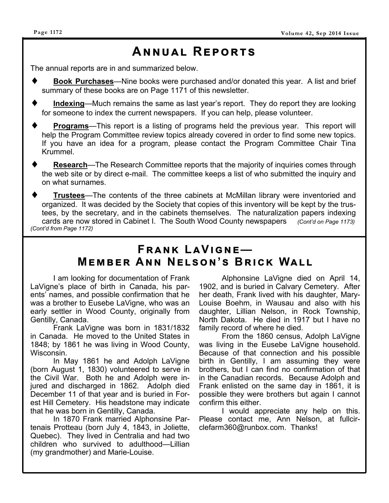# **Aඖඖඝඉඔ Rඍකගඛ**

The annual reports are in and summarized below.

- **Book Purchases**—Nine books were purchased and/or donated this year. A list and brief summary of these books are on Page 1171 of this newsletter.
- **Indexing**—Much remains the same as last year's report. They do report they are looking for someone to index the current newspapers. If you can help, please volunteer.
- **Programs**—This report is a listing of programs held the previous year. This report will help the Program Committee review topics already covered in order to find some new topics. If you have an idea for a program, please contact the Program Committee Chair Tina Krummel.
- **Research**—The Research Committee reports that the majority of inquiries comes through the web site or by direct e-mail. The committee keeps a list of who submitted the inquiry and on what surnames.
- **Trustees**—The contents of the three cabinets at McMillan library were inventoried and organized. It was decided by the Society that copies of this inventory will be kept by the trustees, by the secretary, and in the cabinets themselves. The naturalization papers indexing cards are now stored in Cabinet I. The South Wood County newspapers *(Cont'd on Page 1173) (Cont'd from Page 1172)*

### **Fකඉඖඓ LඉVඑඏඖඍ—**   $M$ **EMBER ANN NELSON'S BRICK WALL**

 I am looking for documentation of Frank LaVigne's place of birth in Canada, his parents' names, and possible confirmation that he was a brother to Eusebe LaVigne, who was an early settler in Wood County, originally from Gentilly, Canada.

 Frank LaVigne was born in 1831/1832 in Canada. He moved to the United States in 1848; by 1861 he was living in Wood County, Wisconsin.

 In May 1861 he and Adolph LaVigne (born August 1, 1830) volunteered to serve in the Civil War. Both he and Adolph were injured and discharged in 1862. Adolph died December 11 of that year and is buried in Forest Hill Cemetery. His headstone may indicate that he was born in Gentilly, Canada.

 In 1870 Frank married Alphonsine Partenais Protteau (born July 4, 1843, in Joliette, Quebec). They lived in Centralia and had two children who survived to adulthood—Lillian (my grandmother) and Marie-Louise.

 Alphonsine LaVigne died on April 14, 1902, and is buried in Calvary Cemetery. After her death, Frank lived with his daughter, Mary-Louise Boehm, in Wausau and also with his daughter, Lillian Nelson, in Rock Township, North Dakota. He died in 1917 but I have no family record of where he died.

 From the 1860 census, Adolph LaVigne was living in the Eusebe LaVigne household. Because of that connection and his possible birth in Gentilly, I am assuming they were brothers, but I can find no confirmation of that in the Canadian records. Because Adolph and Frank enlisted on the same day in 1861, it is possible they were brothers but again I cannot confirm this either.

 I would appreciate any help on this. Please contact me, Ann Nelson, at fullcirclefarm360@runbox.com. Thanks!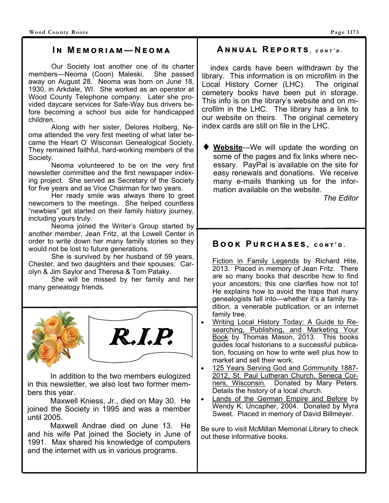#### $IN$  **MEMORIAM**—**NEOMA**

 Our Society lost another one of its charter members—Neoma (Coon) Maleski. She passed away on August 28. Neoma was born on June 18, 1930, in Arkdale, WI. She worked as an operator at Wood County Telephone company. Later she provided daycare services for Safe-Way bus drivers before becoming a school bus aide for handicapped children.

 Along with her sister, Delores Holberg, Neoma attended the very first meeting of what later became the Heart O' Wisconsin Genealogical Society. They remained faithful, hard-working members of the Society.

 Neoma volunteered to be on the very first newsletter committee and the first newspaper indexing project. She served as Secretary of the Society for five years and as Vice Chairman for two years.

 Her ready smile was always there to greet newcomers to the meetings. She helped countless "newbies" get started on their family history journey, including yours truly.

 Neoma joined the Writer's Group started by another member, Jean Fritz, at the Lowell Center in order to write down her many family stories so they would not be lost to future generations.

 She is survived by her husband of 59 years, Chester, and two daughters and their spouses: Carolyn & Jim Saylor and Theresa & Tom Pataky.

 She will be missed by her family and her many genealogy friends.





 In addition to the two members eulogized in this newsletter, we also lost two former members this year.

 Maxwell Kniess, Jr., died on May 30. He joined the Society in 1995 and was a member until 2005.

 Maxwell Andrae died on June 13. He and his wife Pat joined the Society in June of 1991. Max shared his knowledge of computers and the internet with us in various programs.

#### $AMNUAL$  REPORTS,  $conv2$

 index cards have been withdrawn by the library. This information is on microfilm in the Local History Corner (LHC). The original cemetery books have been put in storage. This info is on the library's website and on microfilm in the LHC. The library has a link to our website on theirs. The original cemetery index cards are still on file in the LHC.

**Website**—We will update the wording on some of the pages and fix links where necessary. PayPal is available on the site for easy renewals and donations. We receive many e-mails thanking us for the information available on the website.

*The Editor* 

### $B$  **OOK** PURCHASES, CONT'D.

Fiction in Family Legends by Richard Hite, 2013. Placed in memory of Jean Fritz. There are so many books that describe how to find your ancestors; this one clarifies how not to! He explains how to avoid the traps that many genealogists fall into—whether it's a family tradition, a venerable publication, or an internet family tree.

- Writing Local History Today: A Guide to Researching, Publishing, and Marketing Your Book by Thomas Mason, 2013. This books guides local historians to a successful publication, focusing on how to write well plus how to market and sell their work.
- 125 Years Serving God and Community 1887- 2012, St. Paul Lutheran Church, Seneca Corners, Wisconsin. Donated by Mary Peters. Details the history of a local church.
- Lands of the German Empire and Before by Wendy K. Uncapher, 2004. Donated by Myra Sweet. Placed in memory of David Billmeyer.

Be sure to visit McMillan Memorial Library to check out these informative books.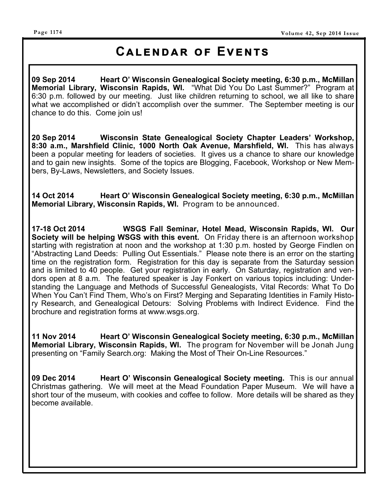#### **Page 1174**

### **CALENDAR OF EVENTS**

**09 Sep 2014 Heart O' Wisconsin Genealogical Society meeting, 6:30 p.m., McMillan Memorial Library, Wisconsin Rapids, WI.** "What Did You Do Last Summer?" Program at 6:30 p.m. followed by our meeting. Just like children returning to school, we all like to share what we accomplished or didn't accomplish over the summer. The September meeting is our chance to do this. Come join us!

**20 Sep 2014 Wisconsin State Genealogical Society Chapter Leaders' Workshop, 8:30 a.m., Marshfield Clinic, 1000 North Oak Avenue, Marshfield, WI.** This has always been a popular meeting for leaders of societies. It gives us a chance to share our knowledge and to gain new insights. Some of the topics are Blogging, Facebook, Workshop or New Members, By-Laws, Newsletters, and Society Issues.

**14 Oct 2014 Heart O' Wisconsin Genealogical Society meeting, 6:30 p.m., McMillan Memorial Library, Wisconsin Rapids, WI.** Program to be announced.

**17-18 Oct 2014 WSGS Fall Seminar, Hotel Mead, Wisconsin Rapids, WI. Our Society will be helping WSGS with this event.** On Friday there is an afternoon workshop starting with registration at noon and the workshop at 1:30 p.m. hosted by George Findlen on "Abstracting Land Deeds: Pulling Out Essentials." Please note there is an error on the starting time on the registration form. Registration for this day is separate from the Saturday session and is limited to 40 people. Get your registration in early. On Saturday, registration and vendors open at 8 a.m. The featured speaker is Jay Fonkert on various topics including: Understanding the Language and Methods of Successful Genealogists, Vital Records: What To Do When You Can't Find Them, Who's on First? Merging and Separating Identities in Family History Research, and Genealogical Detours: Solving Problems with Indirect Evidence. Find the brochure and registration forms at www.wsgs.org.

**11 Nov 2014 Heart O' Wisconsin Genealogical Society meeting, 6:30 p.m., McMillan Memorial Library, Wisconsin Rapids, WI.** The program for November will be Jonah Jung presenting on "Family Search.org: Making the Most of Their On-Line Resources."

**09 Dec 2014 Heart O' Wisconsin Genealogical Society meeting.** This is our annual Christmas gathering. We will meet at the Mead Foundation Paper Museum. We will have a short tour of the museum, with cookies and coffee to follow. More details will be shared as they become available.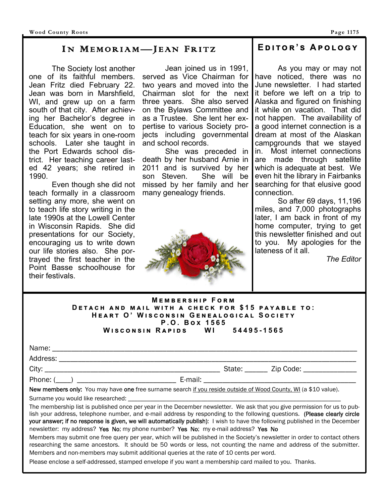#### IN MEMORIAM—JEAN FRITZ

 The Society lost another one of its faithful members. Jean Fritz died February 22. Jean was born in Marshfield, WI, and grew up on a farm south of that city. After achieving her Bachelor's degree in Education, she went on to teach for six years in one-room schools. Later she taught in the Port Edwards school district. Her teaching career lasted 42 years; she retired in 1990.

 Even though she did not teach formally in a classroom setting any more, she went on to teach life story writing in the late 1990s at the Lowell Center in Wisconsin Rapids. She did presentations for our Society, encouraging us to write down our life stories also. She portrayed the first teacher in the Point Basse schoolhouse for their festivals.

 Jean joined us in 1991, served as Vice Chairman for two years and moved into the Chairman slot for the next three years. She also served on the Bylaws Committee and as a Trustee. She lent her expertise to various Society projects including governmental and school records.

 She was preceded in death by her husband Arnie in 2011 and is survived by her son Steven. She will be missed by her family and her many genealogy friends.



### $E$ **DITOR'S APOLOGY**

 As you may or may not have noticed, there was no June newsletter. I had started it before we left on a trip to Alaska and figured on finishing it while on vacation. That did not happen. The availability of a good internet connection is a dream at most of the Alaskan campgrounds that we stayed in. Most internet connections are made through satellite which is adequate at best. We even hit the library in Fairbanks searching for that elusive good connection.

 So after 69 days, 11,196 miles, and 7,000 photographs later, I am back in front of my home computer, trying to get this newsletter finished and out to you. My apologies for the lateness of it all.

*The Editor*

| <b>MEMBERSHIP FORM</b>                             |  |  |  |
|----------------------------------------------------|--|--|--|
| DETACH AND MAIL WITH A CHECK FOR \$15 PAYABLE TO:  |  |  |  |
| HEART O' WISCONSIN GENEALOGICAL SOCIETY            |  |  |  |
| P.O. Box 1565                                      |  |  |  |
| <b>WISCONSIN RAPIDS</b><br>$\sim$ WI<br>54495-1565 |  |  |  |

|                                                                                                                                                                                                                                                                                                                                                                                                                                                                                                                                                                                                           |  | State: Zip Code: |  |
|-----------------------------------------------------------------------------------------------------------------------------------------------------------------------------------------------------------------------------------------------------------------------------------------------------------------------------------------------------------------------------------------------------------------------------------------------------------------------------------------------------------------------------------------------------------------------------------------------------------|--|------------------|--|
|                                                                                                                                                                                                                                                                                                                                                                                                                                                                                                                                                                                                           |  |                  |  |
| New members only: You may have one free surname search if you reside outside of Wood County, WI (a \$10 value).                                                                                                                                                                                                                                                                                                                                                                                                                                                                                           |  |                  |  |
|                                                                                                                                                                                                                                                                                                                                                                                                                                                                                                                                                                                                           |  |                  |  |
| The membership list is published once per year in the December newsletter. We ask that you give permission for us to pub-<br>lish your address, telephone number, and e-mail address by responding to the following questions. (Please clearly circle<br>your answer; if no response is given, we will automatically publish): I wish to have the following published in the December<br>newsletter: my address? Yes No; my phone number? Yes No; my e-mail address? Yes No<br>Members may submit one free query per year, which will be published in the Society's newsletter in order to contact others |  |                  |  |
| researching the same ancestors. It should be 50 words or less, not counting the name and address of the submitter.<br>Members and non-members may submit additional queries at the rate of 10 cents per word.<br>Please enclose a self-addressed, stamped envelope if you want a membership card mailed to you. Thanks.                                                                                                                                                                                                                                                                                   |  |                  |  |
|                                                                                                                                                                                                                                                                                                                                                                                                                                                                                                                                                                                                           |  |                  |  |